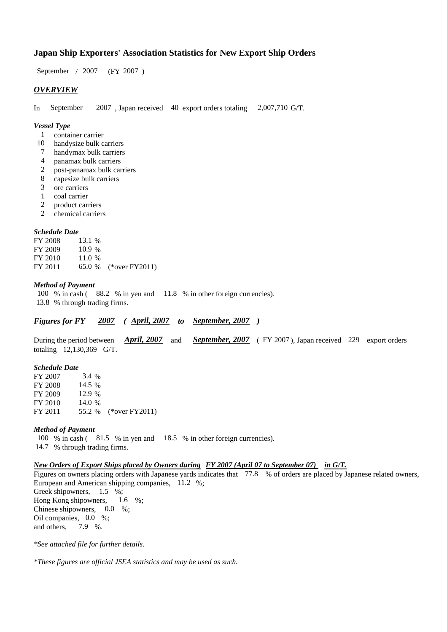### **Japan Ship Exporters' Association Statistics for New Export Ship Orders**

 $/ 2007$  (FY 2007) September / 2007

#### *OVERVIEW*

In September  $2007$ , Japan received 40 export orders totaling  $2,007,710$  G/T. September 2,007,710 G/T.

#### *Vessel Type*

- container carrier 1
- handysize bulk carriers 10
- handymax bulk carriers 7
- panamax bulk carriers 4
- post-panamax bulk carriers 2
- capesize bulk carriers 8
- ore carriers 3
- coal carrier 1
- product carriers 2
- chemical carriers  $2<sup>2</sup>$

#### *Schedule Date*

**FY 2008** FY 2009 FY 2010 FY 2011 65.0 % (\*over FY2011) 13.1 % 11.0 % 10.9 % 65.0 %

#### *Method of Payment*

100 % in cash (88.2 % in yen and 11.8 % in other foreign currencies). % through trading firms. 13.8

*Figures for FY* 2007 (April, 2007 to September, 2007)

During the period between *April, 2007* and *September, 2007* (FY 2007), Japan received 229 export orders totaling  $12,130,369$  G/T.

#### *Schedule Date*

FY 2007 **FY 2008** FY 2009 FY 2010 FY 2011 55.2 % (\*over FY 2011) 14.0 % 55.2 14.5 % 12.9 % 3.4 %

#### *Method of Payment*

100 % in cash (81.5 % in yen and 18.5 % in other foreign currencies). 14.7 % through trading firms.

#### *New Orders of Export Ships placed by Owners during FY 2007 (April 07 to September 07) in G/T.*

Figures on owners placing orders with Japanese yards indicates that 77.8 % of orders are placed by Japanese related owners, European and American shipping companies, 11.2 %; Greek shipowners,  $1.5\%$ ; Hong Kong shipowners, Chinese shipowners,  $0.0\%$ ; Oil companies, 0.0 %; and others,  $1.6\%$ ; 7.9 %.

*\*See attached file for further details.*

*\*These figures are official JSEA statistics and may be used as such.*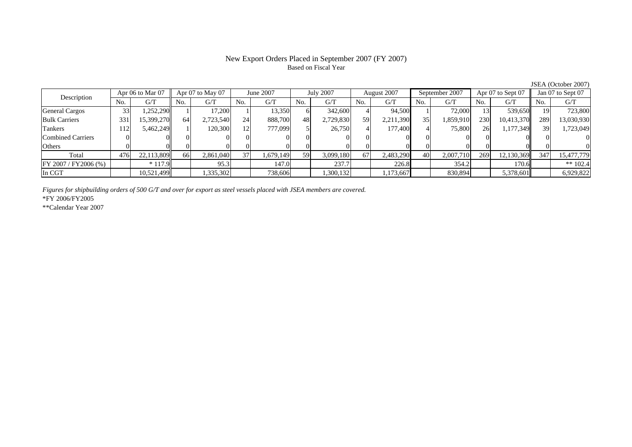# Based on Fiscal Year

No. G/T No. G/T No. G/T No. G/T No. G/T No. G/T No. G/T No. G/TGeneral Cargos ( 33 1,252,290 1 17,200 1 13,350 6 342,600 4 94,500 1 72,000 13 539,650 19 723,800 Bulk Carriers 331 15,399,270 64 2,723,540 24 888,700 48 2,729,830 59 2,211,390 35 1,859,910 230 10,413,370 289 13,030,930 Tankers | 112| 5,462,249|| 1| 120,300| 12| 777,099| 5| 26,750| 4| 177,400| 4| 75,800| 26| 1,177,349|| 39| 1,723,049 Combined Carriers 0 0 0 0 0 0 0 0 0 0 0 0 0 0 0 0Others 0 0 0 0 0 0 0 0 0 0 0 0 0 0 0 0Total 476 22,113,809 66 2,861,040 37 1,679,149 59 3,099,180 67 2,483,290 40 2,007,710 269 12,130,369 347 15,477,779 FY 2007 / FY2006 (%) \* 117.9 95.3 147.0 237.7 226.8 354.2 170.6 \*\* 102.4 In CGT | | 10,521,499| | 1,335,302| | 738,606| | 1,300,132| | 1,173,667| | 830,894| | 5,378,601|| | 6,929,822 Description Apr 06 to Mar 07 Apr 07 to May 07 June 2007 July 2007 August 2007 September 2007 Apr 07 to Sept 07 Jan 07 to Sept 07

*Figures for shipbuilding orders of 500 G/T and over for export as steel vessels placed with JSEA members are covered.*

\*FY 2006/FY2005

\*\*Calendar Year 2007

JSEA (October 2007)

 $\mathbf{0}$ 

## New Export Orders Placed in September 2007 (FY 2007)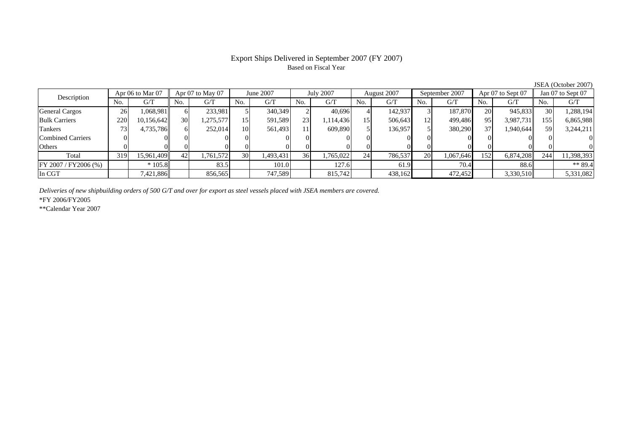#### Export Ships Delivered in September 2007 (FY 2007) Based on Fiscal Year

No. I G/T II No. I G/T II No. I G/T II No. I G/T G/T II No. I G/T II No. I G/T II No. I G/T II No. I G/T II No  $G/T$ General Cargos 26 1,068,981 6 233,981 5 340,349 2 40,696 4 142,937 3 187,870 20 945,833 30 1,288,194 Bulk Carriers 220 10,156,642 30 1,275,577 15 591,589 23 1,114,436 15 506,643 12 499,486 95 3,987,731 155 6,865,988 Tankers | 73 | 4,735,786|| 6| 252,014 | 10| 561,493 | 11| 609,890| 5| 136,957| 5| 380,290| 37| 1,940,644|| 59| 3,244,211 Combined Carriers 0 0 0 0 0 0 0 0 0 0 0 0 0 0 0 0Others | 0 | 0 | 0 | 0 | 0 | 0 | 0 | 0 | 0 | 0 | 0 | 0 Total 319 15,961,409 42 1,761,572 30 1,493,431 36 1,765,022 24 786,537 20 1,067,646 152 6,874,208 244 11,398,393 FY 2007 / FY2006 (%) \* 105.8 83.5 101.0 127.6 61.9 70.4 88.6 \*\* 89.4 In CGT | | 7,421,886| | 856,565 | 747,589| | 815,742| | 438,162| | 472,452| | 3,330,510|| | 5,331,082 July 2007 Description Apr 06 to Mar 07 Apr 07 to May 07 June 2007 July 2007 August 2007 September 2007 Apr 07 to Sept 07 Jan 07 to Sept 07

*Deliveries of new shipbuilding orders of 500 G/T and over for export as steel vessels placed with JSEA members are covered.*

\*FY 2006/FY2005

\*\*Calendar Year 2007

JSEA (October 2007)